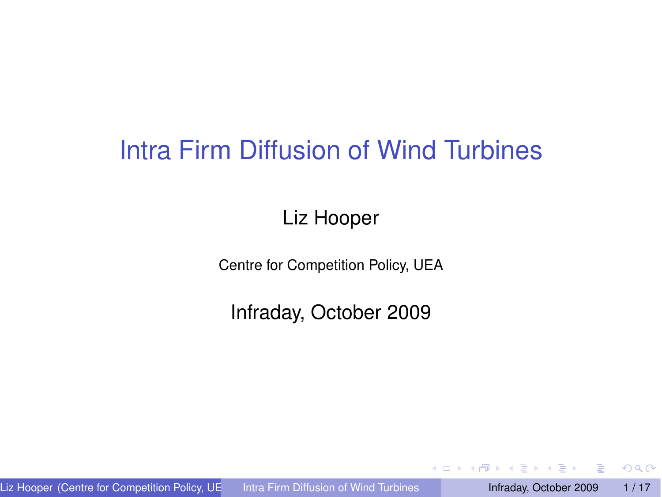## Intra Firm Diffusion of Wind Turbines

#### Liz Hooper

Centre for Competition Policy, UEA

Infraday, October 2009

E

<span id="page-0-0"></span> $299$ 

 $\mathcal{A}$   $\overline{\mathcal{B}}$   $\rightarrow$   $\mathcal{A}$   $\overline{\mathcal{B}}$   $\rightarrow$   $\mathcal{A}$   $\overline{\mathcal{B}}$   $\rightarrow$ 

4 0 8 1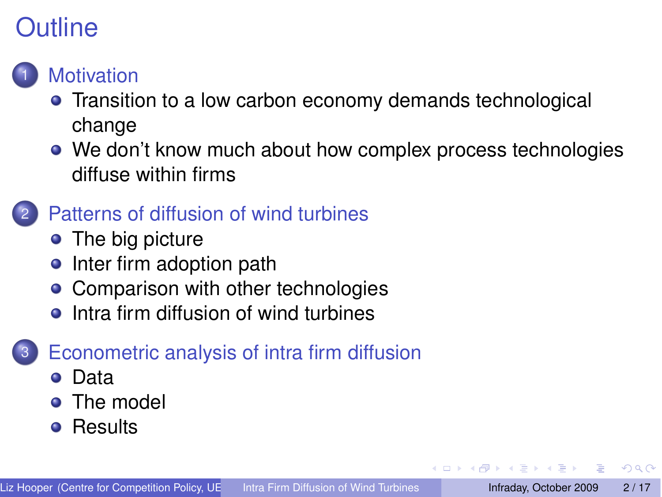# **Outline**

#### **[Motivation](#page-2-0)**

- **•** [Transition to a low carbon economy demands technological](#page-2-0) [change](#page-2-0)
- [We don't know much about how complex process technologies](#page-4-0) [diffuse within firms](#page-4-0)

#### [Patterns of diffusion of wind turbines](#page-6-0)

- [The big picture](#page-6-0)
- [Inter firm adoption path](#page-7-0)
- [Comparison with other technologies](#page-8-0)
- [Intra firm diffusion of wind turbines](#page-9-0)

#### [Econometric analysis of intra firm diffusion](#page-11-0)

- [Data](#page-11-0)
- [The model](#page-12-0)
- **•** [Results](#page-13-0)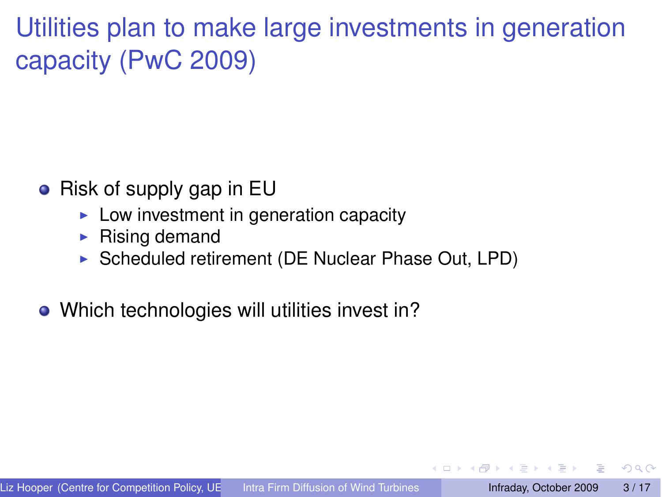Utilities plan to make large investments in generation capacity (PwC 2009)

- $\bullet$  Risk of supply gap in EU
	- $\blacktriangleright$  Low investment in generation capacity
	- $\triangleright$  Rising demand
	- ▶ Scheduled retirement (DE Nuclear Phase Out, LPD)
- Which technologies will utilities invest in?

<span id="page-2-0"></span> $\Omega$ 

**ARANES**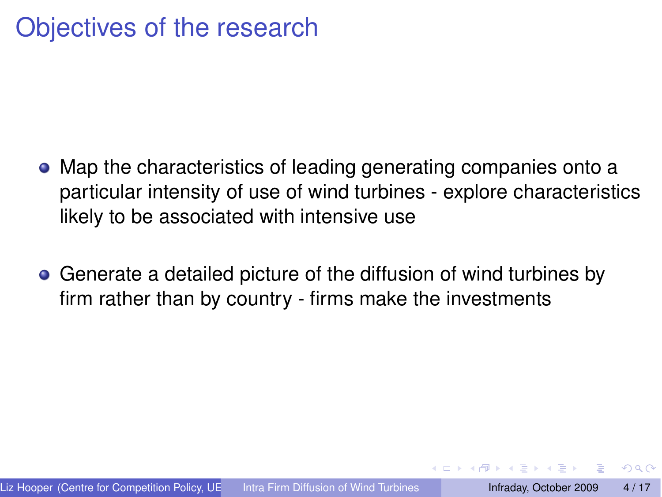## Objectives of the research

- Map the characteristics of leading generating companies onto a particular intensity of use of wind turbines - explore characteristics likely to be associated with intensive use
- Generate a detailed picture of the diffusion of wind turbines by firm rather than by country - firms make the investments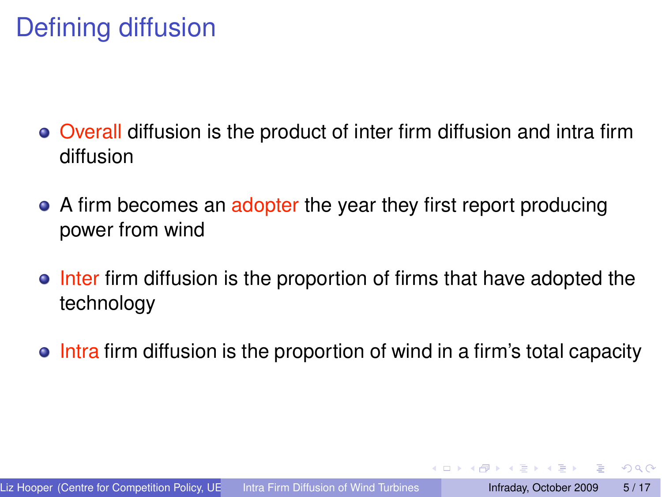## Defining diffusion

- Overall diffusion is the product of inter firm diffusion and intra firm diffusion
- A firm becomes an adopter the year they first report producing power from wind
- Inter firm diffusion is the proportion of firms that have adopted the technology
- Intra firm diffusion is the proportion of wind in a firm's total capacity

<span id="page-4-0"></span> $\Omega$ 

イロメン 河 メラモ メラメ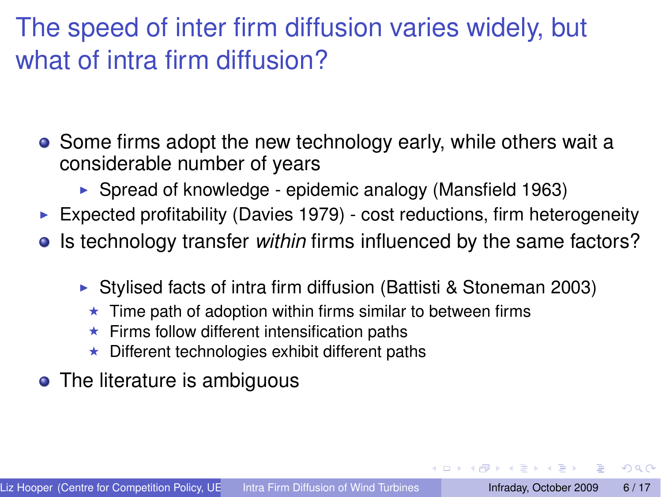## The speed of inter firm diffusion varies widely, but what of intra firm diffusion?

- Some firms adopt the new technology early, while others wait a considerable number of years
	- ► Spread of knowledge epidemic analogy (Mansfield 1963)
- $\triangleright$  Expected profitability (Davies 1979) cost reductions, firm heterogeneity
- **In** Is technology transfer *within* firms influenced by the same factors?
	- ! Stylised facts of intra firm diffusion (Battisti & Stoneman 2003)
		- Time path of adoption within firms similar to between firms
		- Firms follow different intensification paths
		- Different technologies exhibit different paths
- The literature is ambiguous

 $\Omega$ 

 $\mathcal{A}$   $\overline{\mathcal{B}}$   $\rightarrow$   $\mathcal{A}$   $\overline{\mathcal{B}}$   $\rightarrow$   $\mathcal{A}$   $\overline{\mathcal{B}}$   $\rightarrow$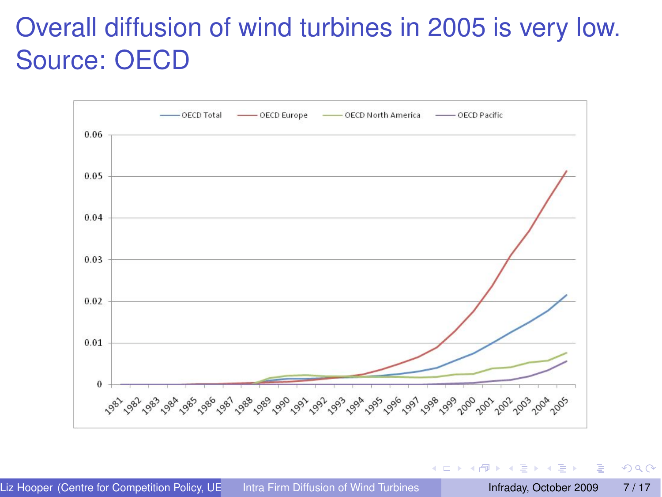# Overall diffusion of wind turbines in 2005 is very low. Source: OECD



 $(0,1)$   $(0,1)$   $(0,1)$   $(1,1)$   $(1,1)$   $(1,1)$   $(1,1)$   $(1,1)$   $(1,1)$   $(1,1)$   $(1,1)$   $(1,1)$   $(1,1)$   $(1,1)$   $(1,1)$   $(1,1)$   $(1,1)$   $(1,1)$   $(1,1)$   $(1,1)$   $(1,1)$   $(1,1)$   $(1,1)$   $(1,1)$   $(1,1)$   $(1,1)$   $(1,1)$   $(1,1$ 

<span id="page-6-0"></span>E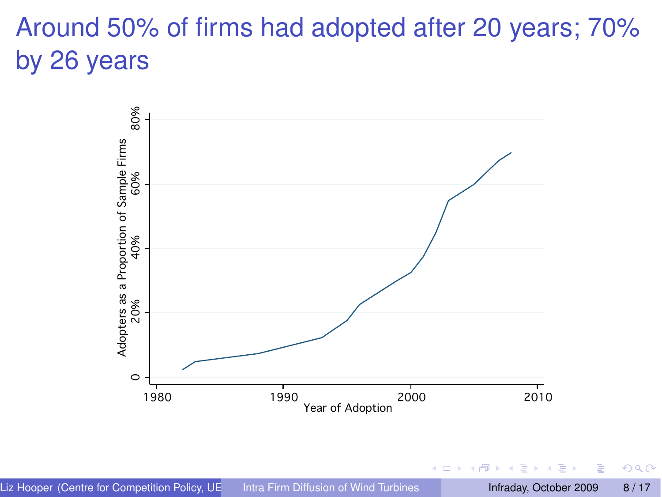# Around 50% of firms had adopted after 20 years; 70% by 26 years



<span id="page-7-0"></span> $\Omega$ 

 $\leftarrow$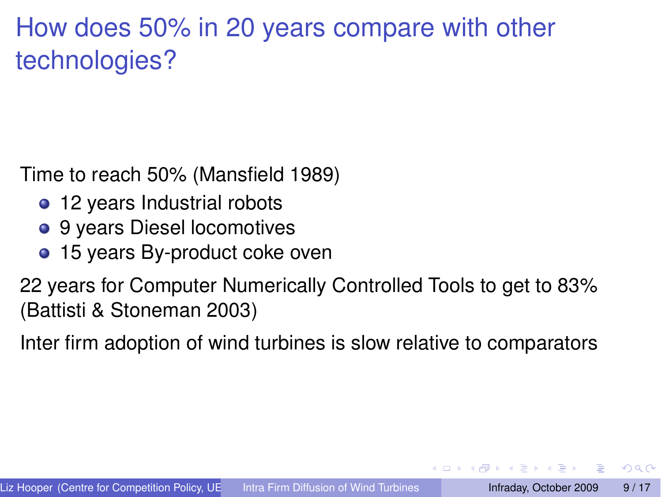## How does 50% in 20 years compare with other technologies?

Time to reach 50% (Mansfield 1989)

- 12 years Industrial robots
- 9 years Diesel locomotives
- 15 years By-product coke oven

22 years for Computer Numerically Controlled Tools to get to 83% (Battisti & Stoneman 2003)

Inter firm adoption of wind turbines is slow relative to comparators

<span id="page-8-0"></span> $\Omega$ 

**SACTO STATE IN**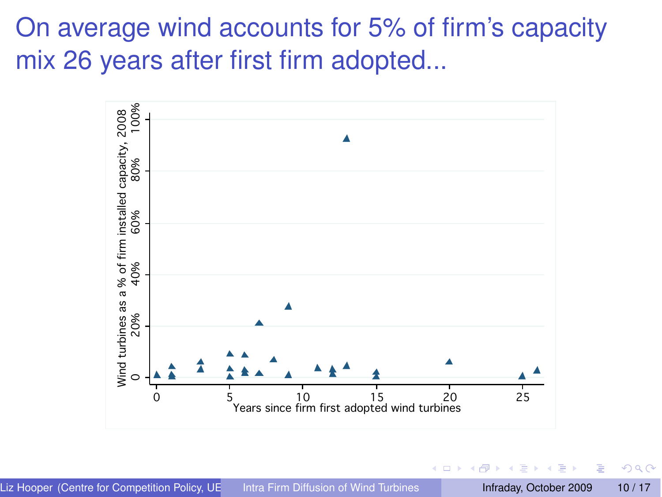On average wind accounts for 5% of firm's capacity mix 26 years after first firm adopted...

<span id="page-9-0"></span>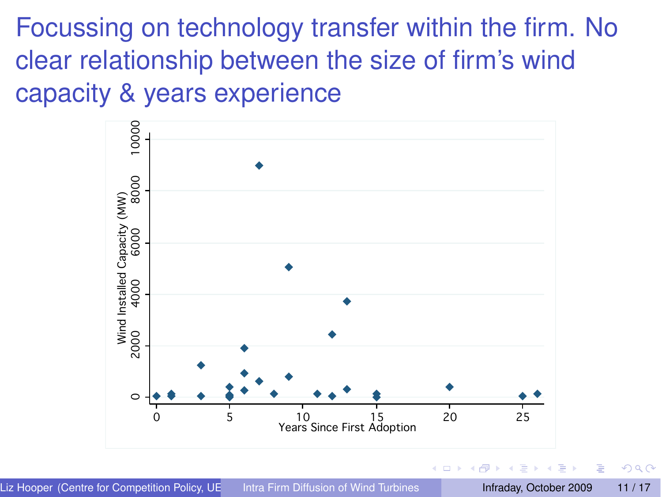Focussing on technology transfer within the firm. No clear relationship between the size of firm's wind capacity & years experience



÷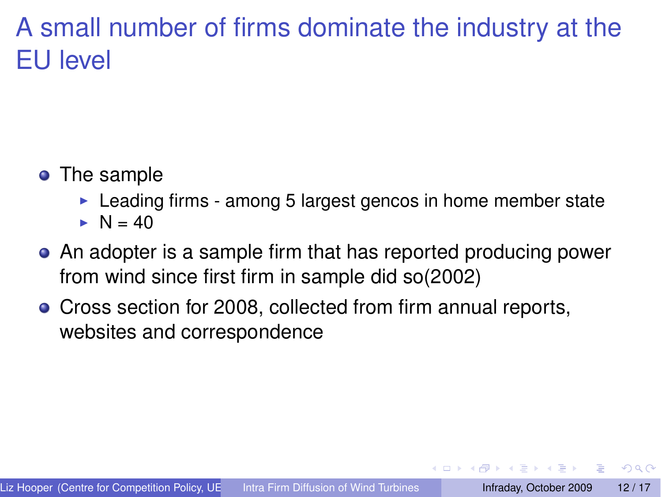## A small number of firms dominate the industry at the EU level

- The sample
	- $\blacktriangleright$  Leading firms among 5 largest gencos in home member state
	- $\blacktriangleright$  N = 40
- An adopter is a sample firm that has reported producing power from wind since first firm in sample did so(2002)
- Cross section for 2008, collected from firm annual reports, websites and correspondence

<span id="page-11-0"></span> $\Omega$ 

**A BA A BA**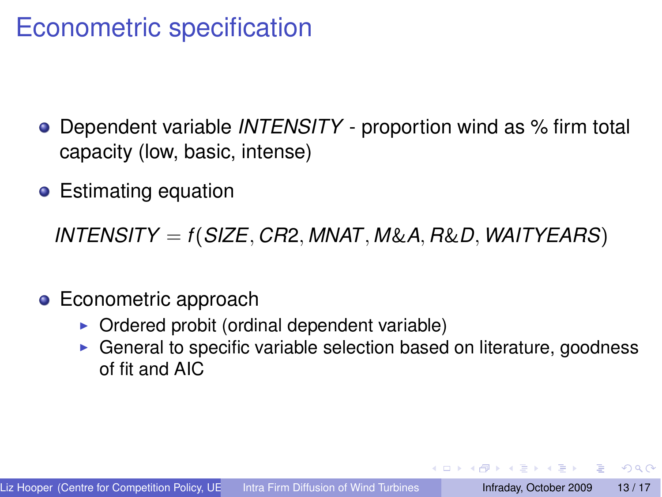#### Econometric specification

- Dependent variable *INTENSITY* proportion wind as % firm total capacity (low, basic, intense)
- Estimating equation

*INTENSITY* = *f*(*SIZE, CR*2*, MNAT, M*&*A, R*&*D, WAITYEARS*)

- **•** Econometric approach
	- $\triangleright$  Ordered probit (ordinal dependent variable)
	- $\triangleright$  General to specific variable selection based on literature, goodness of fit and AIC

<span id="page-12-0"></span> $\Omega$ 

化重压 化重压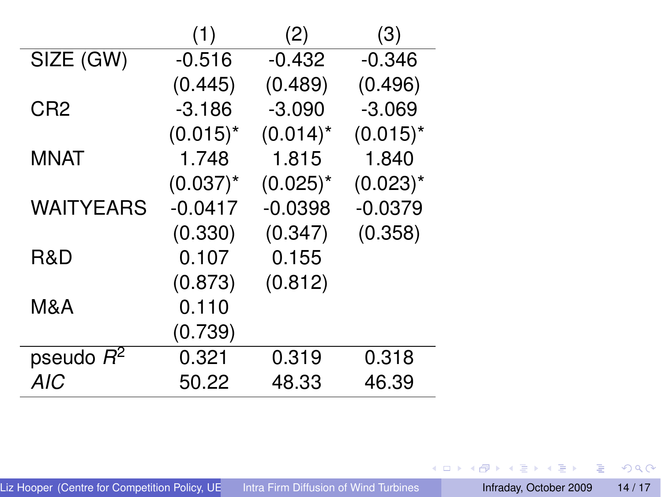|                    | (1)         | (2)         | (3)         |
|--------------------|-------------|-------------|-------------|
| SIZE (GW)          | $-0.516$    | $-0.432$    | $-0.346$    |
|                    | (0.445)     | (0.489)     | (0.496)     |
| CR <sub>2</sub>    | $-3.186$    | $-3.090$    | $-3.069$    |
|                    | $(0.015)^*$ | $(0.014)^*$ | $(0.015)^*$ |
| <b>MNAT</b>        | 1.748       | 1.815       | 1.840       |
|                    | $(0.037)^*$ | $(0.025)^*$ | $(0.023)^*$ |
| <b>WAITYEARS</b>   | $-0.0417$   | $-0.0398$   | $-0.0379$   |
|                    | (0.330)     | (0.347)     | (0.358)     |
| R&D                | 0.107       | 0.155       |             |
|                    | (0.873)     | (0.812)     |             |
| M&A                | 0.110       |             |             |
|                    | (0.739)     |             |             |
| pseudo $\bar{R}^2$ | 0.321       | 0.319       | 0.318       |
| <b>AIC</b>         | 50.22       | 48.33       | 46.39       |

<span id="page-13-0"></span> $2990$ 

メロトメ 御 メメ 君 メメ 君 メー 君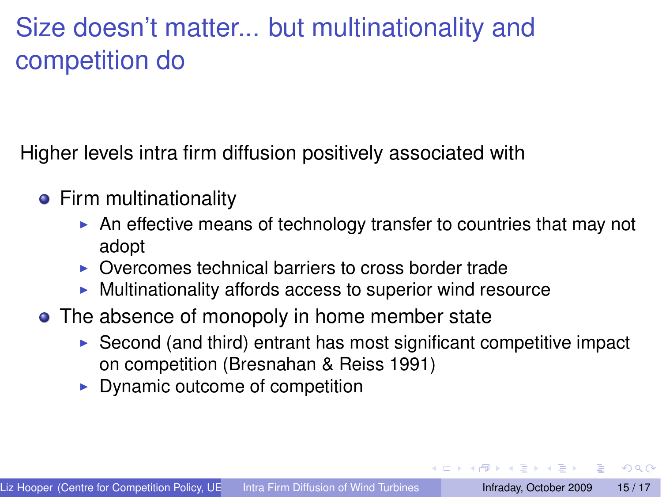## Size doesn't matter... but multinationality and competition do

Higher levels intra firm diffusion positively associated with

- **•** Firm multinationality
	- $\blacktriangleright$  An effective means of technology transfer to countries that may not adopt
	- ▶ Overcomes technical barriers to cross border trade
	- $\blacktriangleright$  Multinationality affords access to superior wind resource
- The absence of monopoly in home member state
	- $\triangleright$  Second (and third) entrant has most significant competitive impact on competition (Bresnahan & Reiss 1991)
	- $\triangleright$  Dynamic outcome of competition

 $\Omega$ 

イロト イ押ト イヨト イヨト ニヨ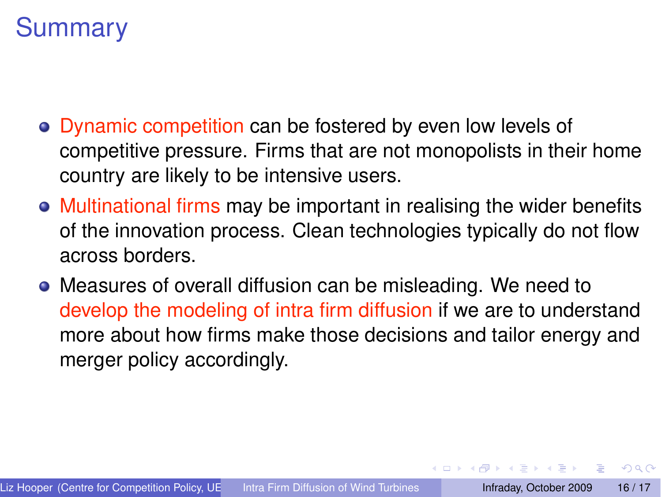## **Summary**

- Dynamic competition can be fostered by even low levels of competitive pressure. Firms that are not monopolists in their home country are likely to be intensive users.
- Multinational firms may be important in realising the wider benefits of the innovation process. Clean technologies typically do not flow across borders.
- Measures of overall diffusion can be misleading. We need to develop the modeling of intra firm diffusion if we are to understand more about how firms make those decisions and tailor energy and merger policy accordingly.

 $\Omega$ 

**STATES**